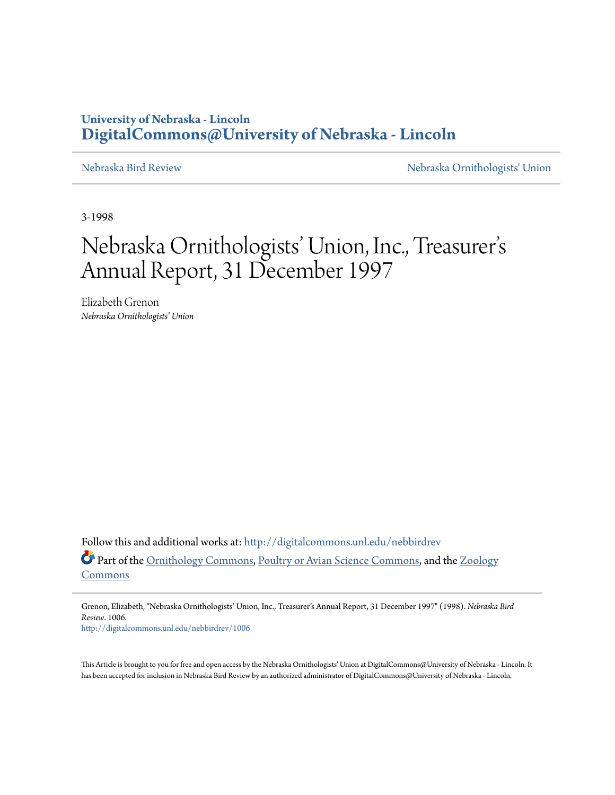## **University of Nebraska - Lincoln [DigitalCommons@University of Nebraska - Lincoln](http://digitalcommons.unl.edu?utm_source=digitalcommons.unl.edu%2Fnebbirdrev%2F1006&utm_medium=PDF&utm_campaign=PDFCoverPages)**

[Nebraska Bird Review](http://digitalcommons.unl.edu/nebbirdrev?utm_source=digitalcommons.unl.edu%2Fnebbirdrev%2F1006&utm_medium=PDF&utm_campaign=PDFCoverPages) [Nebraska Ornithologists' Union](http://digitalcommons.unl.edu/nebornithologists?utm_source=digitalcommons.unl.edu%2Fnebbirdrev%2F1006&utm_medium=PDF&utm_campaign=PDFCoverPages)

3-1998

## Nebraska Ornithologists' Union, Inc., Treasurer s י<br>' י Annual Report, 31 December 1997

Elizabeth Grenon *Nebraska Ornithologists' Union*

Follow this and additional works at: [http://digitalcommons.unl.edu/nebbirdrev](http://digitalcommons.unl.edu/nebbirdrev?utm_source=digitalcommons.unl.edu%2Fnebbirdrev%2F1006&utm_medium=PDF&utm_campaign=PDFCoverPages) Part of the [Ornithology Commons](http://network.bepress.com/hgg/discipline/1190?utm_source=digitalcommons.unl.edu%2Fnebbirdrev%2F1006&utm_medium=PDF&utm_campaign=PDFCoverPages), [Poultry or Avian Science Commons,](http://network.bepress.com/hgg/discipline/80?utm_source=digitalcommons.unl.edu%2Fnebbirdrev%2F1006&utm_medium=PDF&utm_campaign=PDFCoverPages) and the [Zoology](http://network.bepress.com/hgg/discipline/81?utm_source=digitalcommons.unl.edu%2Fnebbirdrev%2F1006&utm_medium=PDF&utm_campaign=PDFCoverPages) [Commons](http://network.bepress.com/hgg/discipline/81?utm_source=digitalcommons.unl.edu%2Fnebbirdrev%2F1006&utm_medium=PDF&utm_campaign=PDFCoverPages)

Grenon, Elizabeth, "Nebraska Ornithologists' Union, Inc., Treasurer's Annual Report, 31 December 1997" (1998). *Nebraska Bird Review*. 1006.

[http://digitalcommons.unl.edu/nebbirdrev/1006](http://digitalcommons.unl.edu/nebbirdrev/1006?utm_source=digitalcommons.unl.edu%2Fnebbirdrev%2F1006&utm_medium=PDF&utm_campaign=PDFCoverPages)

This Article is brought to you for free and open access by the Nebraska Ornithologists' Union at DigitalCommons@University of Nebraska - Lincoln. It has been accepted for inclusion in Nebraska Bird Review by an authorized administrator of DigitalCommons@University of Nebraska - Lincoln.